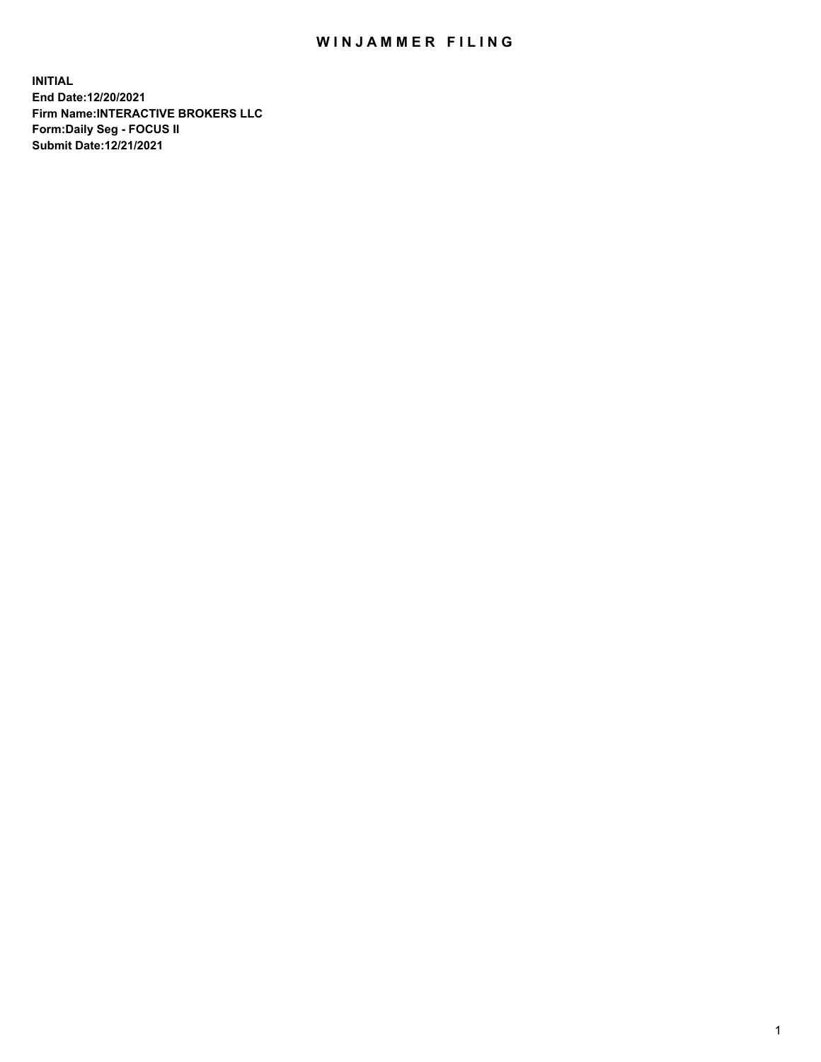## WIN JAMMER FILING

**INITIAL End Date:12/20/2021 Firm Name:INTERACTIVE BROKERS LLC Form:Daily Seg - FOCUS II Submit Date:12/21/2021**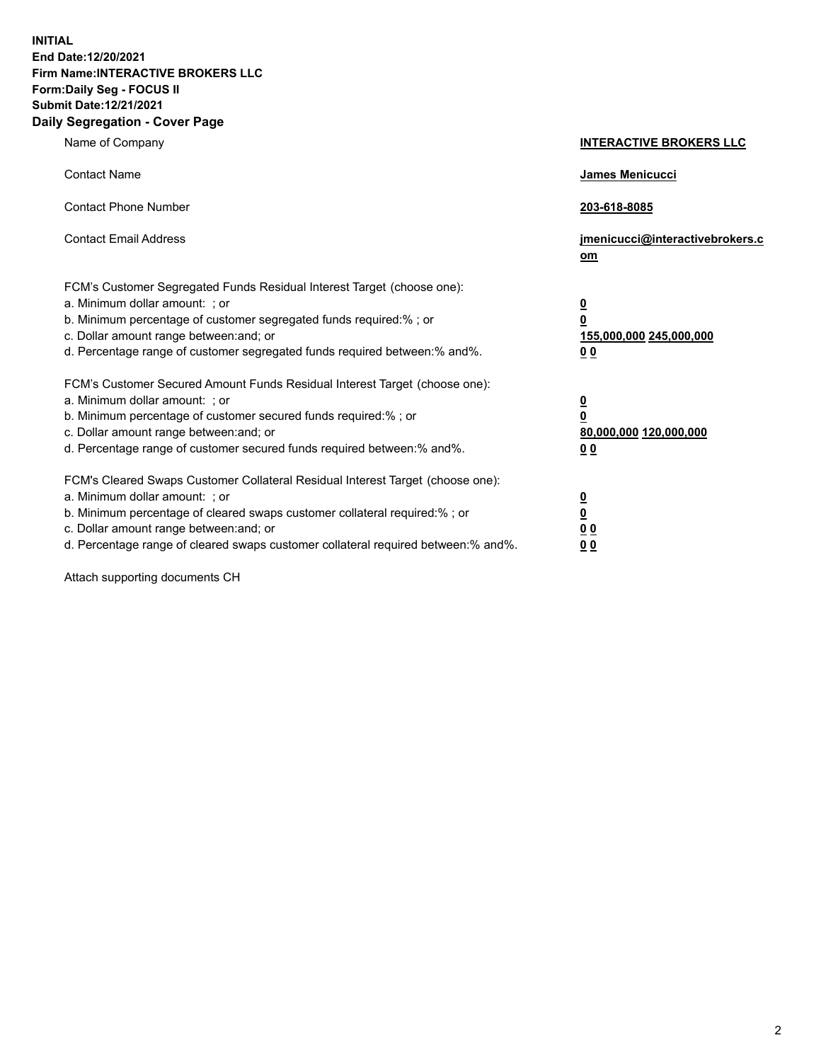**INITIAL End Date:12/20/2021 Firm Name:INTERACTIVE BROKERS LLC Form:Daily Seg - FOCUS II Submit Date:12/21/2021 Daily Segregation - Cover Page**

| Name of Company                                                                                                                                                                                                                                                                                                                | <b>INTERACTIVE BROKERS LLC</b>                                                                           |
|--------------------------------------------------------------------------------------------------------------------------------------------------------------------------------------------------------------------------------------------------------------------------------------------------------------------------------|----------------------------------------------------------------------------------------------------------|
| <b>Contact Name</b>                                                                                                                                                                                                                                                                                                            | James Menicucci                                                                                          |
| <b>Contact Phone Number</b>                                                                                                                                                                                                                                                                                                    | 203-618-8085                                                                                             |
| <b>Contact Email Address</b>                                                                                                                                                                                                                                                                                                   | jmenicucci@interactivebrokers.c<br>om                                                                    |
| FCM's Customer Segregated Funds Residual Interest Target (choose one):<br>a. Minimum dollar amount: ; or<br>b. Minimum percentage of customer segregated funds required:%; or<br>c. Dollar amount range between: and; or<br>d. Percentage range of customer segregated funds required between:% and%.                          | <u>0</u><br>$\overline{\mathbf{0}}$<br>155,000,000 245,000,000<br>0 <sub>0</sub>                         |
| FCM's Customer Secured Amount Funds Residual Interest Target (choose one):<br>a. Minimum dollar amount: ; or<br>b. Minimum percentage of customer secured funds required:%; or<br>c. Dollar amount range between: and; or<br>d. Percentage range of customer secured funds required between:% and%.                            | <u>0</u><br>$\overline{\mathbf{0}}$<br>80,000,000 120,000,000<br><u>00</u>                               |
| FCM's Cleared Swaps Customer Collateral Residual Interest Target (choose one):<br>a. Minimum dollar amount: ; or<br>b. Minimum percentage of cleared swaps customer collateral required:% ; or<br>c. Dollar amount range between: and; or<br>d. Percentage range of cleared swaps customer collateral required between:% and%. | $\overline{\mathbf{0}}$<br>$\underline{\mathbf{0}}$<br>$\underline{0}$ $\underline{0}$<br>0 <sub>0</sub> |

Attach supporting documents CH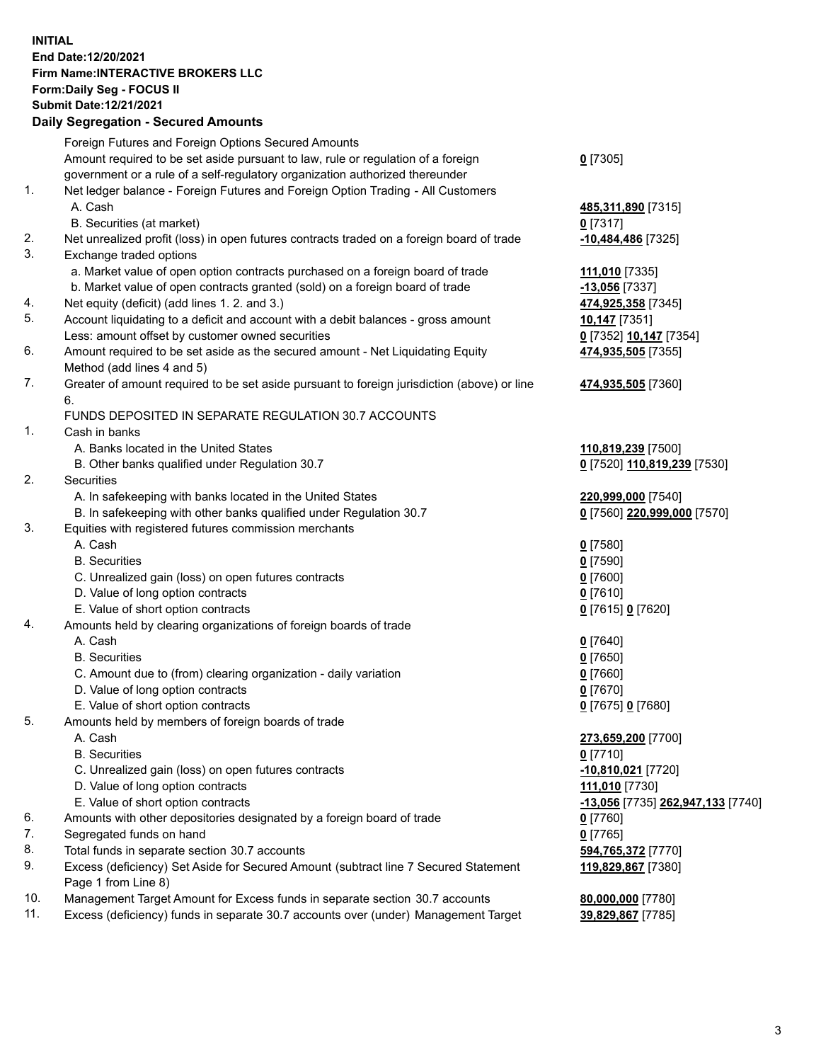## **INITIAL End Date:12/20/2021 Firm Name:INTERACTIVE BROKERS LLC Form:Daily Seg - FOCUS II Submit Date:12/21/2021 Daily Segregation - Secured Amounts**

|                | Daily Ocglegation - Occuled Anioants                                                              |                                   |
|----------------|---------------------------------------------------------------------------------------------------|-----------------------------------|
|                | Foreign Futures and Foreign Options Secured Amounts                                               |                                   |
|                | Amount required to be set aside pursuant to law, rule or regulation of a foreign                  | $0$ [7305]                        |
|                | government or a rule of a self-regulatory organization authorized thereunder                      |                                   |
| $\mathbf{1}$ . | Net ledger balance - Foreign Futures and Foreign Option Trading - All Customers                   |                                   |
|                | A. Cash                                                                                           | 485,311,890 [7315]                |
|                | B. Securities (at market)                                                                         | 0 [7317]                          |
| 2.             | Net unrealized profit (loss) in open futures contracts traded on a foreign board of trade         | -10,484,486 [7325]                |
| 3.             | Exchange traded options                                                                           |                                   |
|                | a. Market value of open option contracts purchased on a foreign board of trade                    | 111,010 [7335]                    |
|                | b. Market value of open contracts granted (sold) on a foreign board of trade                      | $-13,056$ [7337]                  |
| 4.             | Net equity (deficit) (add lines 1. 2. and 3.)                                                     | 474,925,358 [7345]                |
| 5.             | Account liquidating to a deficit and account with a debit balances - gross amount                 | 10,147 [7351]                     |
|                | Less: amount offset by customer owned securities                                                  | 0 [7352] 10,147 [7354]            |
| 6.             | Amount required to be set aside as the secured amount - Net Liquidating Equity                    | 474,935,505 [7355]                |
|                | Method (add lines 4 and 5)                                                                        |                                   |
| 7.             | Greater of amount required to be set aside pursuant to foreign jurisdiction (above) or line<br>6. | 474,935,505 [7360]                |
|                | FUNDS DEPOSITED IN SEPARATE REGULATION 30.7 ACCOUNTS                                              |                                   |
| 1.             | Cash in banks                                                                                     |                                   |
|                | A. Banks located in the United States                                                             | 110,819,239 [7500]                |
|                | B. Other banks qualified under Regulation 30.7                                                    | 0 [7520] 110,819,239 [7530]       |
| 2.             | Securities                                                                                        |                                   |
|                | A. In safekeeping with banks located in the United States                                         | 220,999,000 [7540]                |
|                | B. In safekeeping with other banks qualified under Regulation 30.7                                | 0 [7560] 220,999,000 [7570]       |
| 3.             | Equities with registered futures commission merchants                                             |                                   |
|                | A. Cash                                                                                           | $0$ [7580]                        |
|                | <b>B.</b> Securities                                                                              | $0$ [7590]                        |
|                | C. Unrealized gain (loss) on open futures contracts                                               | $0$ [7600]                        |
|                | D. Value of long option contracts                                                                 | $0$ [7610]                        |
|                | E. Value of short option contracts                                                                | 0 [7615] 0 [7620]                 |
| 4.             | Amounts held by clearing organizations of foreign boards of trade                                 |                                   |
|                | A. Cash                                                                                           | $Q$ [7640]                        |
|                | <b>B.</b> Securities                                                                              | $0$ [7650]                        |
|                | C. Amount due to (from) clearing organization - daily variation                                   | $0$ [7660]                        |
|                | D. Value of long option contracts                                                                 | $0$ [7670]                        |
|                | E. Value of short option contracts                                                                | 0 [7675] 0 [7680]                 |
| 5.             | Amounts held by members of foreign boards of trade                                                |                                   |
|                | A. Cash                                                                                           | 273,659,200 [7700]                |
|                | <b>B.</b> Securities                                                                              | $0$ [7710]                        |
|                | C. Unrealized gain (loss) on open futures contracts                                               | $-10,810,021$ [7720]              |
|                | D. Value of long option contracts                                                                 | 111,010 [7730]                    |
|                | E. Value of short option contracts                                                                | -13,056 [7735] 262,947,133 [7740] |
| 6.             | Amounts with other depositories designated by a foreign board of trade                            | 0 [7760]                          |
| 7.             | Segregated funds on hand                                                                          | $0$ [7765]                        |
| 8.             | Total funds in separate section 30.7 accounts                                                     | 594,765,372 [7770]                |
| 9.             | Excess (deficiency) Set Aside for Secured Amount (subtract line 7 Secured Statement               | 119,829,867 [7380]                |
|                | Page 1 from Line 8)                                                                               |                                   |
| 10.            | Management Target Amount for Excess funds in separate section 30.7 accounts                       | 80,000,000 [7780]                 |
| 11.            | Excess (deficiency) funds in separate 30.7 accounts over (under) Management Target                | 39,829,867 [7785]                 |
|                |                                                                                                   |                                   |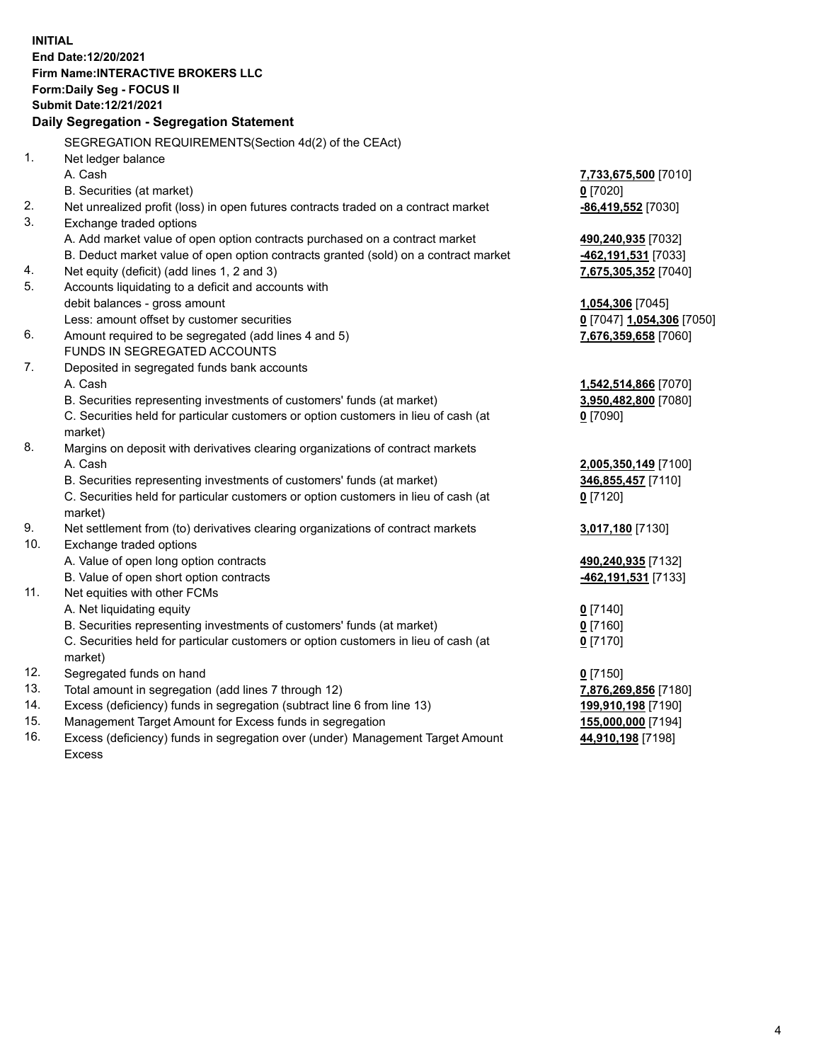**INITIAL End Date:12/20/2021 Firm Name:INTERACTIVE BROKERS LLC Form:Daily Seg - FOCUS II Submit Date:12/21/2021 Daily Segregation - Segregation Statement** SEGREGATION REQUIREMENTS(Section 4d(2) of the CEAct) 1. Net ledger balance A. Cash **7,733,675,500** [7010] B. Securities (at market) **0** [7020] 2. Net unrealized profit (loss) in open futures contracts traded on a contract market **-86,419,552** [7030] 3. Exchange traded options A. Add market value of open option contracts purchased on a contract market **490,240,935** [7032] B. Deduct market value of open option contracts granted (sold) on a contract market **-462,191,531** [7033] 4. Net equity (deficit) (add lines 1, 2 and 3) **7,675,305,352** [7040] 5. Accounts liquidating to a deficit and accounts with debit balances - gross amount **1,054,306** [7045] Less: amount offset by customer securities **0** [7047] **1,054,306** [7050] 6. Amount required to be segregated (add lines 4 and 5) **7,676,359,658** [7060] FUNDS IN SEGREGATED ACCOUNTS 7. Deposited in segregated funds bank accounts A. Cash **1,542,514,866** [7070] B. Securities representing investments of customers' funds (at market) **3,950,482,800** [7080] C. Securities held for particular customers or option customers in lieu of cash (at market) **0** [7090] 8. Margins on deposit with derivatives clearing organizations of contract markets A. Cash **2,005,350,149** [7100] B. Securities representing investments of customers' funds (at market) **346,855,457** [7110] C. Securities held for particular customers or option customers in lieu of cash (at market) **0** [7120] 9. Net settlement from (to) derivatives clearing organizations of contract markets **3,017,180** [7130] 10. Exchange traded options A. Value of open long option contracts **490,240,935** [7132] B. Value of open short option contracts **-462,191,531** [7133] 11. Net equities with other FCMs A. Net liquidating equity **0** [7140] B. Securities representing investments of customers' funds (at market) **0** [7160] C. Securities held for particular customers or option customers in lieu of cash (at market) **0** [7170] 12. Segregated funds on hand **0** [7150] 13. Total amount in segregation (add lines 7 through 12) **7,876,269,856** [7180] 14. Excess (deficiency) funds in segregation (subtract line 6 from line 13) **199,910,198** [7190] 15. Management Target Amount for Excess funds in segregation **155,000,000** [7194]

16. Excess (deficiency) funds in segregation over (under) Management Target Amount Excess

**44,910,198** [7198]